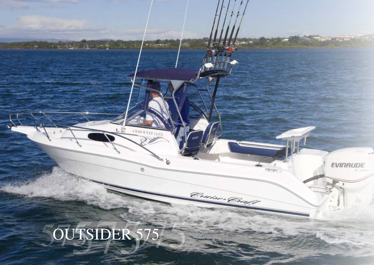## OUTSIDER 575

**All recent profit and in** 

**And Compre** 

**CURRENT GAS** 

O

b

www.cruisecraft.com.au | 16

**EVINRUDE** 

 $rac{1}{2}$ 

Cruise Cruft